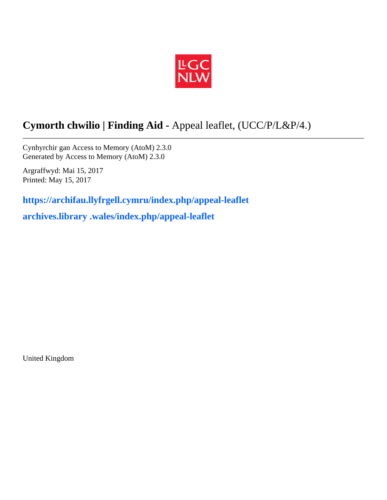

## **Cymorth chwilio | Finding Aid -** Appeal leaflet, (UCC/P/L&P/4.)

Cynhyrchir gan Access to Memory (AtoM) 2.3.0 Generated by Access to Memory (AtoM) 2.3.0

Argraffwyd: Mai 15, 2017 Printed: May 15, 2017

**https://archifau.llyfrgell.cymru/index.php/appeal-leaflet**

**archives.library .wales/index.php/appeal-leaflet**

United Kingdom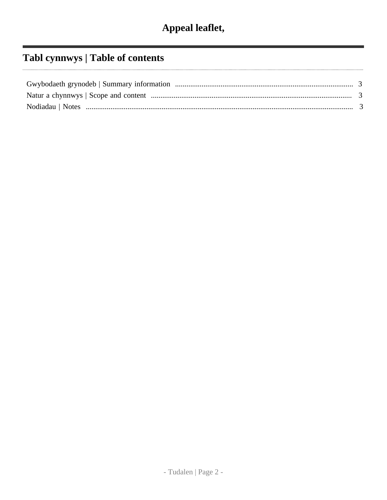# Tabl cynnwys | Table of contents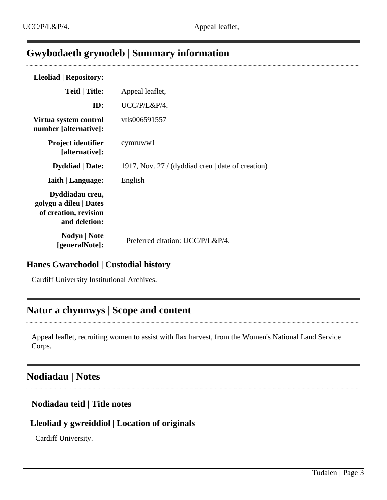## <span id="page-2-0"></span>**Gwybodaeth grynodeb | Summary information**

| Lleoliad   Repository:                                                              |                                                   |
|-------------------------------------------------------------------------------------|---------------------------------------------------|
| Teitl   Title:                                                                      | Appeal leaflet,                                   |
| ID:                                                                                 | UCC/P/L&P/4.                                      |
| Virtua system control<br>number [alternative]:                                      | vtls006591557                                     |
| <b>Project identifier</b><br>[alternative]:                                         | cymruww1                                          |
| <b>Dyddiad</b>   Date:                                                              | 1917, Nov. 27 / (dyddiad creu   date of creation) |
| <b>Iaith   Language:</b>                                                            | English                                           |
| Dyddiadau creu,<br>golygu a dileu   Dates<br>of creation, revision<br>and deletion: |                                                   |
| Nodyn   Note<br>[generalNote]:                                                      | Preferred citation: UCC/P/L&P/4.                  |

### **Hanes Gwarchodol | Custodial history**

Cardiff University Institutional Archives.

## <span id="page-2-1"></span>**Natur a chynnwys | Scope and content**

Appeal leaflet, recruiting women to assist with flax harvest, from the Women's National Land Service Corps.

## <span id="page-2-2"></span>**Nodiadau | Notes**

#### **Nodiadau teitl | Title notes**

#### **Lleoliad y gwreiddiol | Location of originals**

Cardiff University.